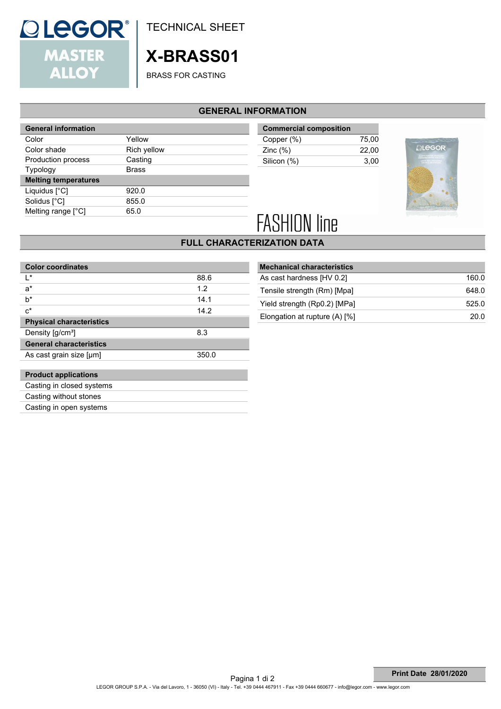

TECHNICAL SHEET

## **X-BRASS01**

BRASS FOR CASTING

#### **GENERAL INFORMATION**

| <b>General information</b>  |              |
|-----------------------------|--------------|
| Color                       | Yellow       |
| Color shade                 | Rich yellow  |
| Production process          | Casting      |
| <b>Typology</b>             | <b>Brass</b> |
| <b>Melting temperatures</b> |              |
| Liquidus [°C]               | 920.0        |
| Solidus [°C]                | 855.0        |
| Melting range [°C]          | 65.0         |

| <b>Commercial composition</b> |       |
|-------------------------------|-------|
| Copper (%)                    | 75.00 |
| Zinc $(\%)$                   | 22.00 |
| Silicon (%)                   | 3.00  |
|                               |       |



# **FASHION line**

#### **FULL CHARACTERIZATION DATA**

| <b>Color coordinates</b>        |       |
|---------------------------------|-------|
| I∗                              | 88.6  |
| $a^*$                           | 1.2   |
| h*                              | 14.1  |
| $c^*$                           | 14.2  |
| <b>Physical characteristics</b> |       |
| Density [g/cm <sup>3</sup> ]    | 8.3   |
| <b>General characteristics</b>  |       |
| As cast grain size [µm]         | 350.0 |
|                                 |       |
| <b>Product applications</b>     |       |
| Casting in closed systems       |       |
| Casting without stones          |       |
| Casting in open systems         |       |

| <b>Mechanical characteristics</b> |       |
|-----------------------------------|-------|
| As cast hardness [HV 0.2]         | 160.0 |
| Tensile strength (Rm) [Mpa]       | 648.0 |
| Yield strength (Rp0.2) [MPa]      | 525.0 |
| Elongation at rupture $(A)$ [%]   | 20.0  |